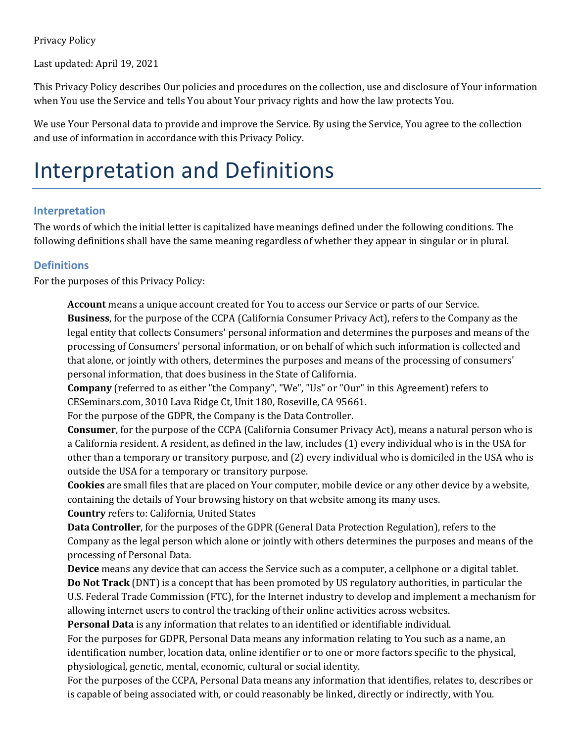Privacy Policy

Last updated: April 19, 2021

This Privacy Policy describes Our policies and procedures on the collection, use and disclosure of Your information when You use the Service and tells You about Your privacy rights and how the law protects You.

We use Your Personal data to provide and improve the Service. By using the Service, You agree to the collection and use of information in accordance with this Privacy Policy.

## Interpretation and Definitions

### **Interpretation**

The words of which the initial letter is capitalized have meanings defined under the following conditions. The following definitions shall have the same meaning regardless of whether they appear in singular or in plural.

### **Definitions**

For the purposes of this Privacy Policy:

Account means a unique account created for You to access our Service or parts of our Service. **Business**, for the purpose of the CCPA (California Consumer Privacy Act), refers to the Company as the legal entity that collects Consumers' personal information and determines the purposes and means of the processing of Consumers' personal information, or on behalf of which such information is collected and that alone, or jointly with others, determines the purposes and means of the processing of consumers' personal information, that does business in the State of California.

**Company** (referred to as either "the Company", "We", "Us" or "Our" in this Agreement) refers to CESeminars.com, 3010 Lava Ridge Ct, Unit 180, Roseville, CA 95661.

For the purpose of the GDPR, the Company is the Data Controller.

**Consumer**, for the purpose of the CCPA (California Consumer Privacy Act), means a natural person who is a California resident. A resident, as defined in the law, includes (1) every individual who is in the USA for other than a temporary or transitory purpose, and (2) every individual who is domiciled in the USA who is outside the USA for a temporary or transitory purpose.

**Cookies** are small files that are placed on Your computer, mobile device or any other device by a website, containing the details of Your browsing history on that website among its many uses.

**Country** refers to: California, United States

**Data Controller**, for the purposes of the GDPR (General Data Protection Regulation), refers to the Company as the legal person which alone or jointly with others determines the purposes and means of the processing of Personal Data.

**Device** means any device that can access the Service such as a computer, a cellphone or a digital tablet. **Do Not Track** (DNT) is a concept that has been promoted by US regulatory authorities, in particular the U.S. Federal Trade Commission (FTC), for the Internet industry to develop and implement a mechanism for allowing internet users to control the tracking of their online activities across websites.

**Personal Data** is any information that relates to an identified or identifiable individual.

For the purposes for GDPR, Personal Data means any information relating to You such as a name, an identification number, location data, online identifier or to one or more factors specific to the physical, physiological, genetic, mental, economic, cultural or social identity.

For the purposes of the CCPA, Personal Data means any information that identifies, relates to, describes or is capable of being associated with, or could reasonably be linked, directly or indirectly, with You.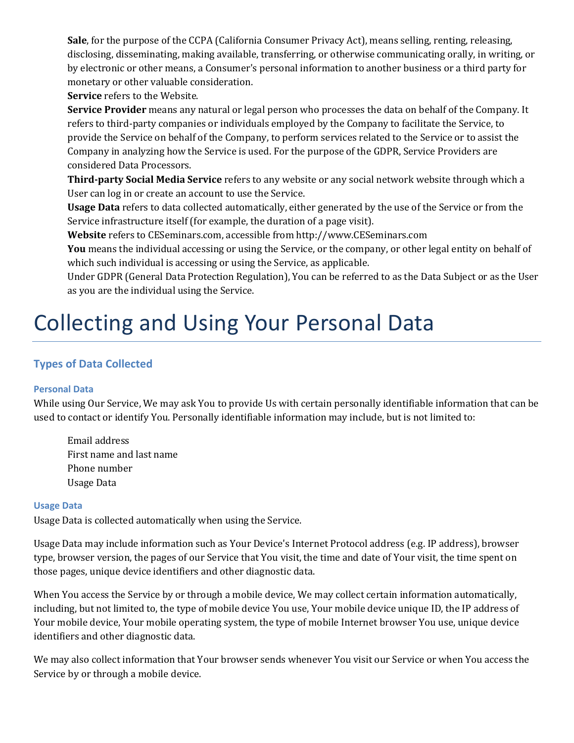**Sale**, for the purpose of the CCPA (California Consumer Privacy Act), means selling, renting, releasing, disclosing, disseminating, making available, transferring, or otherwise communicating orally, in writing, or by electronic or other means, a Consumer's personal information to another business or a third party for monetary or other valuable consideration.

**Service** refers to the Website.

**Service Provider** means any natural or legal person who processes the data on behalf of the Company. It refers to third-party companies or individuals employed by the Company to facilitate the Service, to provide the Service on behalf of the Company, to perform services related to the Service or to assist the Company in analyzing how the Service is used. For the purpose of the GDPR, Service Providers are considered Data Processors.

**Third-party Social Media Service** refers to any website or any social network website through which a User can log in or create an account to use the Service.

**Usage Data** refers to data collected automatically, either generated by the use of the Service or from the Service infrastructure itself (for example, the duration of a page visit).

**Website** refers to CESeminars.com, accessible from [http://www.CESeminars.com](http://www.1031.com/)

**You** means the individual accessing or using the Service, or the company, or other legal entity on behalf of which such individual is accessing or using the Service, as applicable.

Under GDPR (General Data Protection Regulation), You can be referred to as the Data Subject or as the User as you are the individual using the Service.

## Collecting and Using Your Personal Data

## **Types of Data Collected**

#### **Personal Data**

While using Our Service, We may ask You to provide Us with certain personally identifiable information that can be used to contact or identify You. Personally identifiable information may include, but is not limited to:

Email address First name and last name Phone number Usage Data

#### **Usage Data**

Usage Data is collected automatically when using the Service.

Usage Data may include information such as Your Device's Internet Protocol address (e.g. IP address), browser type, browser version, the pages of our Service that You visit, the time and date of Your visit, the time spent on those pages, unique device identifiers and other diagnostic data.

When You access the Service by or through a mobile device, We may collect certain information automatically, including, but not limited to, the type of mobile device You use, Your mobile device unique ID, the IP address of Your mobile device, Your mobile operating system, the type of mobile Internet browser You use, unique device identifiers and other diagnostic data.

We may also collect information that Your browser sends whenever You visit our Service or when You access the Service by or through a mobile device.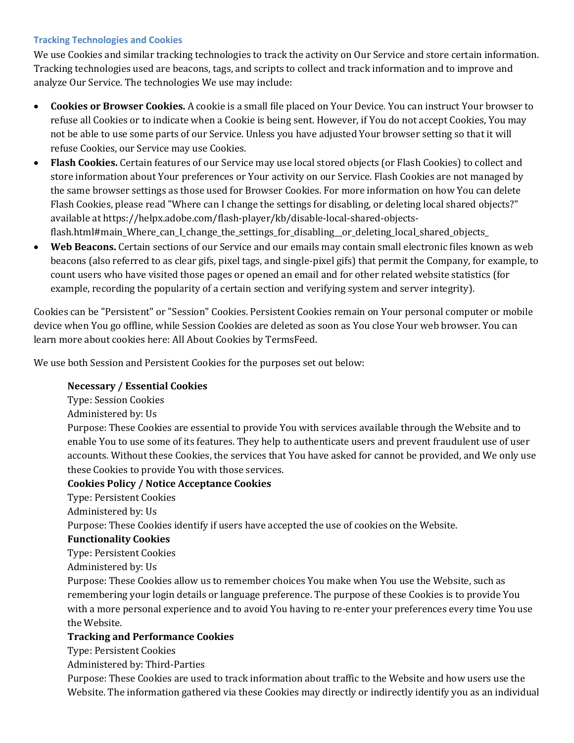#### **Tracking Technologies and Cookies**

We use Cookies and similar tracking technologies to track the activity on Our Service and store certain information. Tracking technologies used are beacons, tags, and scripts to collect and track information and to improve and analyze Our Service. The technologies We use may include:

- **Cookies or Browser Cookies.** A cookie is a small file placed on Your Device. You can instruct Your browser to refuse all Cookies or to indicate when a Cookie is being sent. However, if You do not accept Cookies, You may not be able to use some parts of our Service. Unless you have adjusted Your browser setting so that it will refuse Cookies, our Service may use Cookies.
- **Flash Cookies.** Certain features of our Service may use local stored objects (or Flash Cookies) to collect and store information about Your preferences or Your activity on our Service. Flash Cookies are not managed by the same browser settings as those used for Browser Cookies. For more information on how You can delete Flash Cookies, please read "Where can I change the settings for disabling, or deleting local shared objects?" available at [https://helpx.adobe.com/flash-player/kb/disable-local-shared-objects](https://helpx.adobe.com/flash-player/kb/disable-local-shared-objects-flash.html#main_Where_can_I_change_the_settings_for_disabling__or_deleting_local_shared_objects_)
	- [flash.html#main\\_Where\\_can\\_I\\_change\\_the\\_settings\\_for\\_disabling\\_\\_or\\_deleting\\_local\\_shared\\_objects\\_](https://helpx.adobe.com/flash-player/kb/disable-local-shared-objects-flash.html#main_Where_can_I_change_the_settings_for_disabling__or_deleting_local_shared_objects_)
- **Web Beacons.** Certain sections of our Service and our emails may contain small electronic files known as web beacons (also referred to as clear gifs, pixel tags, and single-pixel gifs) that permit the Company, for example, to count users who have visited those pages or opened an email and for other related website statistics (for example, recording the popularity of a certain section and verifying system and server integrity).

Cookies can be "Persistent" or "Session" Cookies. Persistent Cookies remain on Your personal computer or mobile device when You go offline, while Session Cookies are deleted as soon as You close Your web browser. You can learn more about cookies here: [All About Cookies by TermsFeed.](https://www.termsfeed.com/blog/cookies/)

We use both Session and Persistent Cookies for the purposes set out below:

#### **Necessary / Essential Cookies**

Type: Session Cookies

Administered by: Us

Purpose: These Cookies are essential to provide You with services available through the Website and to enable You to use some of its features. They help to authenticate users and prevent fraudulent use of user accounts. Without these Cookies, the services that You have asked for cannot be provided, and We only use these Cookies to provide You with those services.

#### **Cookies Policy / Notice Acceptance Cookies**

Type: Persistent Cookies

Administered by: Us

Purpose: These Cookies identify if users have accepted the use of cookies on the Website.

#### **Functionality Cookies**

Type: Persistent Cookies

Administered by: Us

Purpose: These Cookies allow us to remember choices You make when You use the Website, such as remembering your login details or language preference. The purpose of these Cookies is to provide You with a more personal experience and to avoid You having to re-enter your preferences every time You use the Website.

#### **Tracking and Performance Cookies**

Type: Persistent Cookies

Administered by: Third-Parties

Purpose: These Cookies are used to track information about traffic to the Website and how users use the Website. The information gathered via these Cookies may directly or indirectly identify you as an individual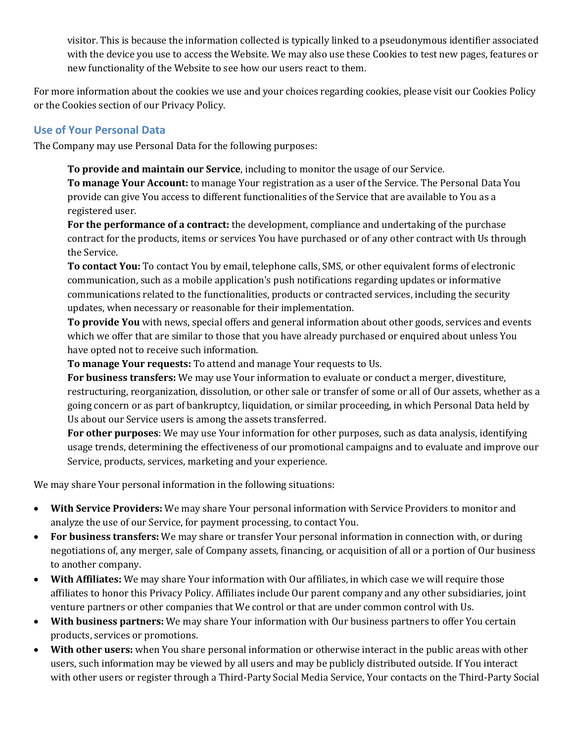visitor. This is because the information collected is typically linked to a pseudonymous identifier associated with the device you use to access the Website. We may also use these Cookies to test new pages, features or new functionality of the Website to see how our users react to them.

For more information about the cookies we use and your choices regarding cookies, please visit our Cookies Policy or the Cookies section of our Privacy Policy.

#### **Use of Your Personal Data**

The Company may use Personal Data for the following purposes:

**To provide and maintain our Service**, including to monitor the usage of our Service.

**To manage Your Account:** to manage Your registration as a user of the Service. The Personal Data You provide can give You access to different functionalities of the Service that are available to You as a registered user.

**For the performance of a contract:** the development, compliance and undertaking of the purchase contract for the products, items or services You have purchased or of any other contract with Us through the Service.

**To contact You:** To contact You by email, telephone calls, SMS, or other equivalent forms of electronic communication, such as a mobile application's push notifications regarding updates or informative communications related to the functionalities, products or contracted services, including the security updates, when necessary or reasonable for their implementation.

**To provide You** with news, special offers and general information about other goods, services and events which we offer that are similar to those that you have already purchased or enquired about unless You have opted not to receive such information.

**To manage Your requests:** To attend and manage Your requests to Us.

**For business transfers:** We may use Your information to evaluate or conduct a merger, divestiture, restructuring, reorganization, dissolution, or other sale or transfer of some or all of Our assets, whether as a going concern or as part of bankruptcy, liquidation, or similar proceeding, in which Personal Data held by Us about our Service users is among the assets transferred.

**For other purposes**: We may use Your information for other purposes, such as data analysis, identifying usage trends, determining the effectiveness of our promotional campaigns and to evaluate and improve our Service, products, services, marketing and your experience.

We may share Your personal information in the following situations:

- **With Service Providers:** We may share Your personal information with Service Providers to monitor and analyze the use of our Service, for payment processing, to contact You.
- **For business transfers:** We may share or transfer Your personal information in connection with, or during negotiations of, any merger, sale of Company assets, financing, or acquisition of all or a portion of Our business to another company.
- **With Affiliates:** We may share Your information with Our affiliates, in which case we will require those affiliates to honor this Privacy Policy. Affiliates include Our parent company and any other subsidiaries, joint venture partners or other companies that We control or that are under common control with Us.
- **With business partners:** We may share Your information with Our business partners to offer You certain products, services or promotions.
- **With other users:** when You share personal information or otherwise interact in the public areas with other users, such information may be viewed by all users and may be publicly distributed outside. If You interact with other users or register through a Third-Party Social Media Service, Your contacts on the Third-Party Social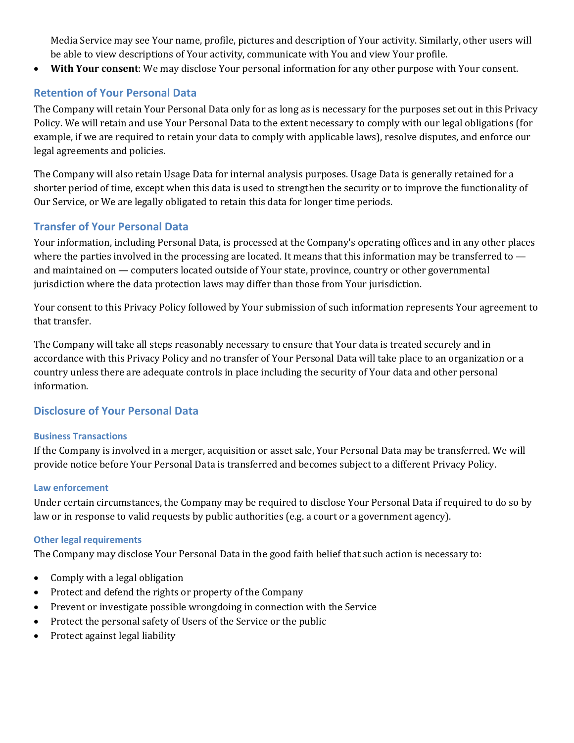Media Service may see Your name, profile, pictures and description of Your activity. Similarly, other users will be able to view descriptions of Your activity, communicate with You and view Your profile.

• **With Your consent**: We may disclose Your personal information for any other purpose with Your consent.

### **Retention of Your Personal Data**

The Company will retain Your Personal Data only for as long as is necessary for the purposes set out in this Privacy Policy. We will retain and use Your Personal Data to the extent necessary to comply with our legal obligations (for example, if we are required to retain your data to comply with applicable laws), resolve disputes, and enforce our legal agreements and policies.

The Company will also retain Usage Data for internal analysis purposes. Usage Data is generally retained for a shorter period of time, except when this data is used to strengthen the security or to improve the functionality of Our Service, or We are legally obligated to retain this data for longer time periods.

### **Transfer of Your Personal Data**

Your information, including Personal Data, is processed at the Company's operating offices and in any other places where the parties involved in the processing are located. It means that this information may be transferred to and maintained on — computers located outside of Your state, province, country or other governmental jurisdiction where the data protection laws may differ than those from Your jurisdiction.

Your consent to this Privacy Policy followed by Your submission of such information represents Your agreement to that transfer.

The Company will take all steps reasonably necessary to ensure that Your data is treated securely and in accordance with this Privacy Policy and no transfer of Your Personal Data will take place to an organization or a country unless there are adequate controls in place including the security of Your data and other personal information.

#### **Disclosure of Your Personal Data**

#### **Business Transactions**

If the Company is involved in a merger, acquisition or asset sale, Your Personal Data may be transferred. We will provide notice before Your Personal Data is transferred and becomes subject to a different Privacy Policy.

#### **Law enforcement**

Under certain circumstances, the Company may be required to disclose Your Personal Data if required to do so by law or in response to valid requests by public authorities (e.g. a court or a government agency).

#### **Other legal requirements**

The Company may disclose Your Personal Data in the good faith belief that such action is necessary to:

- Comply with a legal obligation
- Protect and defend the rights or property of the Company
- Prevent or investigate possible wrongdoing in connection with the Service
- Protect the personal safety of Users of the Service or the public
- Protect against legal liability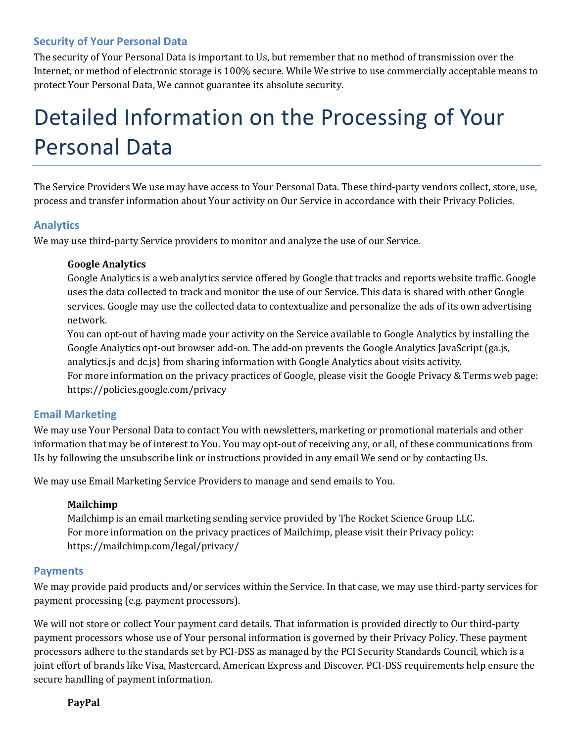## **Security of Your Personal Data**

The security of Your Personal Data is important to Us, but remember that no method of transmission over the Internet, or method of electronic storage is 100% secure. While We strive to use commercially acceptable means to protect Your Personal Data, We cannot guarantee its absolute security.

# Detailed Information on the Processing of Your Personal Data

The Service Providers We use may have access to Your Personal Data. These third-party vendors collect, store, use, process and transfer information about Your activity on Our Service in accordance with their Privacy Policies.

#### **Analytics**

We may use third-party Service providers to monitor and analyze the use of our Service.

#### **Google Analytics**

Google Analytics is a web analytics service offered by Google that tracks and reports website traffic. Google uses the data collected to track and monitor the use of our Service. This data is shared with other Google services. Google may use the collected data to contextualize and personalize the ads of its own advertising network.

You can opt-out of having made your activity on the Service available to Google Analytics by installing the Google Analytics opt-out browser add-on. The add-on prevents the Google Analytics JavaScript (ga.js, analytics.js and dc.js) from sharing information with Google Analytics about visits activity. For more information on the privacy practices of Google, please visit the Google Privacy & Terms web page:

<https://policies.google.com/privacy>

#### **Email Marketing**

We may use Your Personal Data to contact You with newsletters, marketing or promotional materials and other information that may be of interest to You. You may opt-out of receiving any, or all, of these communications from Us by following the unsubscribe link or instructions provided in any email We send or by contacting Us.

We may use Email Marketing Service Providers to manage and send emails to You.

#### **Mailchimp**

Mailchimp is an email marketing sending service provided by The Rocket Science Group LLC. For more information on the privacy practices of Mailchimp, please visit their Privacy policy: <https://mailchimp.com/legal/privacy/>

#### **Payments**

We may provide paid products and/or services within the Service. In that case, we may use third-party services for payment processing (e.g. payment processors).

We will not store or collect Your payment card details. That information is provided directly to Our third-party payment processors whose use of Your personal information is governed by their Privacy Policy. These payment processors adhere to the standards set by PCI-DSS as managed by the PCI Security Standards Council, which is a joint effort of brands like Visa, Mastercard, American Express and Discover. PCI-DSS requirements help ensure the secure handling of payment information.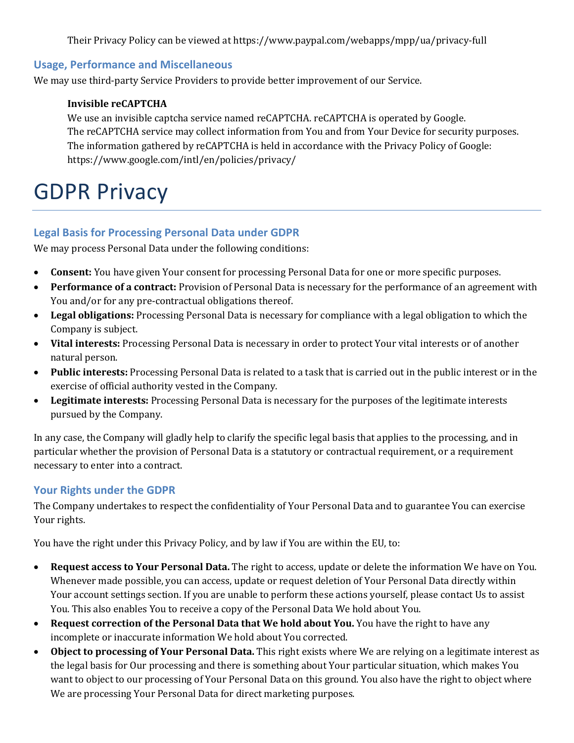Their Privacy Policy can be viewed at<https://www.paypal.com/webapps/mpp/ua/privacy-full>

### **Usage, Performance and Miscellaneous**

We may use third-party Service Providers to provide better improvement of our Service.

#### **Invisible reCAPTCHA**

We use an invisible captcha service named reCAPTCHA. reCAPTCHA is operated by Google. The reCAPTCHA service may collect information from You and from Your Device for security purposes. The information gathered by reCAPTCHA is held in accordance with the Privacy Policy of Google: <https://www.google.com/intl/en/policies/privacy/>

## GDPR Privacy

### **Legal Basis for Processing Personal Data under GDPR**

We may process Personal Data under the following conditions:

- **Consent:** You have given Your consent for processing Personal Data for one or more specific purposes.
- **Performance of a contract:** Provision of Personal Data is necessary for the performance of an agreement with You and/or for any pre-contractual obligations thereof.
- **Legal obligations:** Processing Personal Data is necessary for compliance with a legal obligation to which the Company is subject.
- **Vital interests:** Processing Personal Data is necessary in order to protect Your vital interests or of another natural person.
- **Public interests:** Processing Personal Data is related to a task that is carried out in the public interest or in the exercise of official authority vested in the Company.
- **Legitimate interests:** Processing Personal Data is necessary for the purposes of the legitimate interests pursued by the Company.

In any case, the Company will gladly help to clarify the specific legal basis that applies to the processing, and in particular whether the provision of Personal Data is a statutory or contractual requirement, or a requirement necessary to enter into a contract.

## **Your Rights under the GDPR**

The Company undertakes to respect the confidentiality of Your Personal Data and to guarantee You can exercise Your rights.

You have the right under this Privacy Policy, and by law if You are within the EU, to:

- **Request access to Your Personal Data.** The right to access, update or delete the information We have on You. Whenever made possible, you can access, update or request deletion of Your Personal Data directly within Your account settings section. If you are unable to perform these actions yourself, please contact Us to assist You. This also enables You to receive a copy of the Personal Data We hold about You.
- **Request correction of the Personal Data that We hold about You.** You have the right to have any incomplete or inaccurate information We hold about You corrected.
- **Object to processing of Your Personal Data.** This right exists where We are relying on a legitimate interest as the legal basis for Our processing and there is something about Your particular situation, which makes You want to object to our processing of Your Personal Data on this ground. You also have the right to object where We are processing Your Personal Data for direct marketing purposes.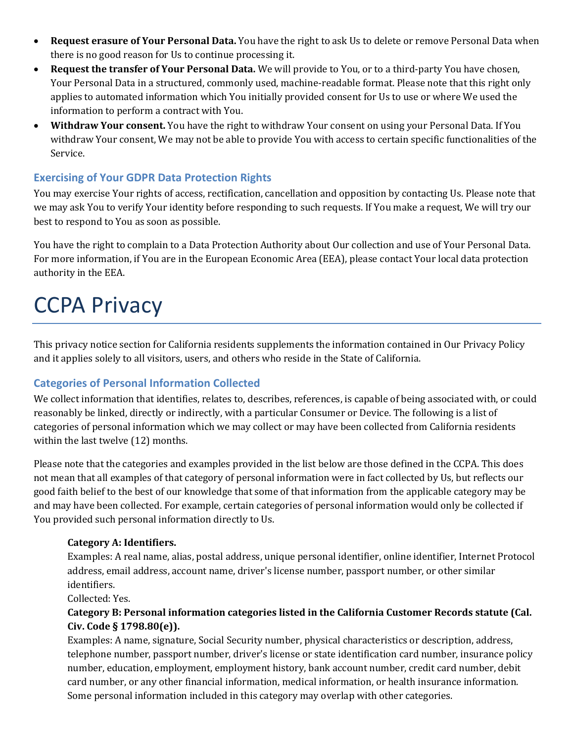- **Request erasure of Your Personal Data.** You have the right to ask Us to delete or remove Personal Data when there is no good reason for Us to continue processing it.
- **Request the transfer of Your Personal Data.** We will provide to You, or to a third-party You have chosen, Your Personal Data in a structured, commonly used, machine-readable format. Please note that this right only applies to automated information which You initially provided consent for Us to use or where We used the information to perform a contract with You.
- **Withdraw Your consent.** You have the right to withdraw Your consent on using your Personal Data. If You withdraw Your consent, We may not be able to provide You with access to certain specific functionalities of the Service.

### **Exercising of Your GDPR Data Protection Rights**

You may exercise Your rights of access, rectification, cancellation and opposition by contacting Us. Please note that we may ask You to verify Your identity before responding to such requests. If You make a request, We will try our best to respond to You as soon as possible.

You have the right to complain to a Data Protection Authority about Our collection and use of Your Personal Data. For more information, if You are in the European Economic Area (EEA), please contact Your local data protection authority in the EEA.

## CCPA Privacy

This privacy notice section for California residents supplements the information contained in Our Privacy Policy and it applies solely to all visitors, users, and others who reside in the State of California.

## **Categories of Personal Information Collected**

We collect information that identifies, relates to, describes, references, is capable of being associated with, or could reasonably be linked, directly or indirectly, with a particular Consumer or Device. The following is a list of categories of personal information which we may collect or may have been collected from California residents within the last twelve (12) months.

Please note that the categories and examples provided in the list below are those defined in the CCPA. This does not mean that all examples of that category of personal information were in fact collected by Us, but reflects our good faith belief to the best of our knowledge that some of that information from the applicable category may be and may have been collected. For example, certain categories of personal information would only be collected if You provided such personal information directly to Us.

#### **Category A: Identifiers.**

Examples: A real name, alias, postal address, unique personal identifier, online identifier, Internet Protocol address, email address, account name, driver's license number, passport number, or other similar identifiers.

Collected: Yes.

## **Category B: Personal information categories listed in the California Customer Records statute (Cal. Civ. Code § 1798.80(e)).**

Examples: A name, signature, Social Security number, physical characteristics or description, address, telephone number, passport number, driver's license or state identification card number, insurance policy number, education, employment, employment history, bank account number, credit card number, debit card number, or any other financial information, medical information, or health insurance information. Some personal information included in this category may overlap with other categories.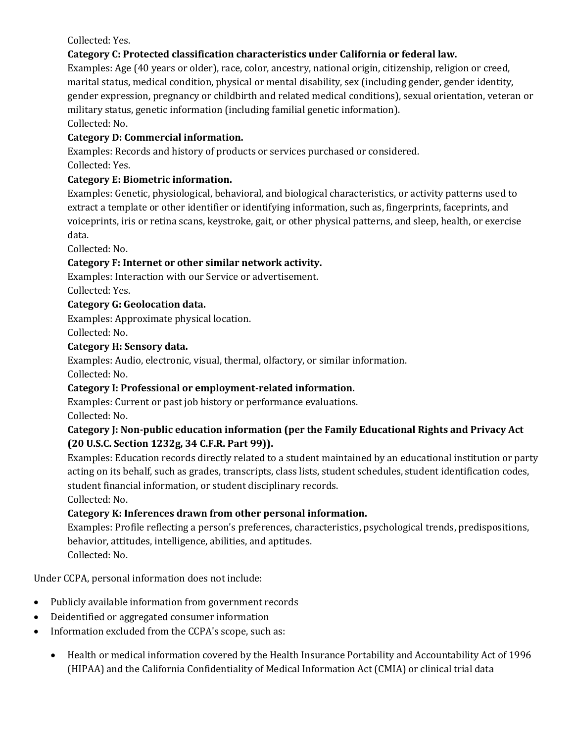#### Collected: Yes.

#### **Category C: Protected classification characteristics under California or federal law.**

Examples: Age (40 years or older), race, color, ancestry, national origin, citizenship, religion or creed, marital status, medical condition, physical or mental disability, sex (including gender, gender identity, gender expression, pregnancy or childbirth and related medical conditions), sexual orientation, veteran or military status, genetic information (including familial genetic information).

Collected: No.

#### **Category D: Commercial information.**

Examples: Records and history of products or services purchased or considered.

Collected: Yes.

#### **Category E: Biometric information.**

Examples: Genetic, physiological, behavioral, and biological characteristics, or activity patterns used to extract a template or other identifier or identifying information, such as, fingerprints, faceprints, and voiceprints, iris or retina scans, keystroke, gait, or other physical patterns, and sleep, health, or exercise data.

Collected: No.

#### **Category F: Internet or other similar network activity.**

Examples: Interaction with our Service or advertisement.

Collected: Yes.

#### **Category G: Geolocation data.**

Examples: Approximate physical location.

Collected: No.

#### **Category H: Sensory data.**

Examples: Audio, electronic, visual, thermal, olfactory, or similar information.

Collected: No.

#### **Category I: Professional or employment-related information.**

Examples: Current or past job history or performance evaluations.

Collected: No.

### **Category J: Non-public education information (per the Family Educational Rights and Privacy Act (20 U.S.C. Section 1232g, 34 C.F.R. Part 99)).**

Examples: Education records directly related to a student maintained by an educational institution or party acting on its behalf, such as grades, transcripts, class lists, student schedules, student identification codes, student financial information, or student disciplinary records.

Collected: No.

#### **Category K: Inferences drawn from other personal information.**

Examples: Profile reflecting a person's preferences, characteristics, psychological trends, predispositions, behavior, attitudes, intelligence, abilities, and aptitudes. Collected: No.

Under CCPA, personal information does not include:

- Publicly available information from government records
- Deidentified or aggregated consumer information
- Information excluded from the CCPA's scope, such as:
	- Health or medical information covered by the Health Insurance Portability and Accountability Act of 1996 (HIPAA) and the California Confidentiality of Medical Information Act (CMIA) or clinical trial data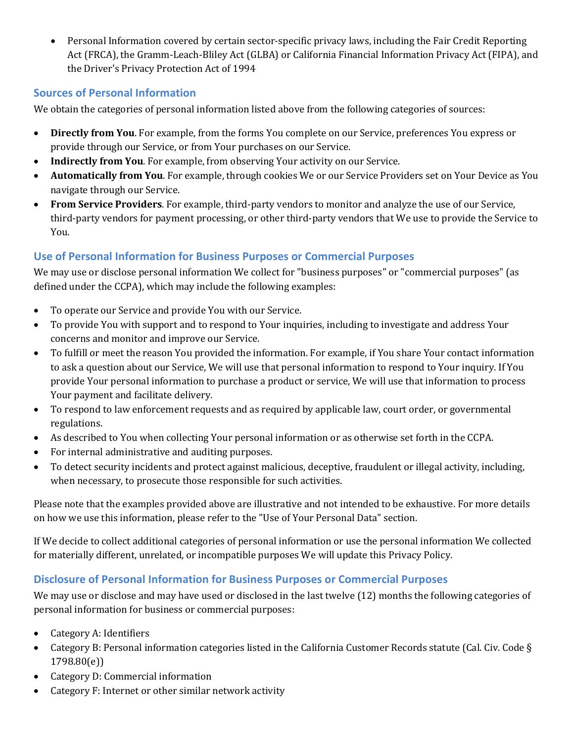• Personal Information covered by certain sector-specific privacy laws, including the Fair Credit Reporting Act (FRCA), the Gramm-Leach-Bliley Act (GLBA) or California Financial Information Privacy Act (FIPA), and the Driver's Privacy Protection Act of 1994

## **Sources of Personal Information**

We obtain the categories of personal information listed above from the following categories of sources:

- **Directly from You**. For example, from the forms You complete on our Service, preferences You express or provide through our Service, or from Your purchases on our Service.
- **Indirectly from You**. For example, from observing Your activity on our Service.
- **Automatically from You**. For example, through cookies We or our Service Providers set on Your Device as You navigate through our Service.
- **From Service Providers**. For example, third-party vendors to monitor and analyze the use of our Service, third-party vendors for payment processing, or other third-party vendors that We use to provide the Service to You.

## **Use of Personal Information for Business Purposes or Commercial Purposes**

We may use or disclose personal information We collect for "business purposes" or "commercial purposes" (as defined under the CCPA), which may include the following examples:

- To operate our Service and provide You with our Service.
- To provide You with support and to respond to Your inquiries, including to investigate and address Your concerns and monitor and improve our Service.
- To fulfill or meet the reason You provided the information. For example, if You share Your contact information to ask a question about our Service, We will use that personal information to respond to Your inquiry. If You provide Your personal information to purchase a product or service, We will use that information to process Your payment and facilitate delivery.
- To respond to law enforcement requests and as required by applicable law, court order, or governmental regulations.
- As described to You when collecting Your personal information or as otherwise set forth in the CCPA.
- For internal administrative and auditing purposes.
- To detect security incidents and protect against malicious, deceptive, fraudulent or illegal activity, including, when necessary, to prosecute those responsible for such activities.

Please note that the examples provided above are illustrative and not intended to be exhaustive. For more details on how we use this information, please refer to the "Use of Your Personal Data" section.

If We decide to collect additional categories of personal information or use the personal information We collected for materially different, unrelated, or incompatible purposes We will update this Privacy Policy.

## **Disclosure of Personal Information for Business Purposes or Commercial Purposes**

We may use or disclose and may have used or disclosed in the last twelve (12) months the following categories of personal information for business or commercial purposes:

- Category A: Identifiers
- Category B: Personal information categories listed in the California Customer Records statute (Cal. Civ. Code § 1798.80(e))
- Category D: Commercial information
- Category F: Internet or other similar network activity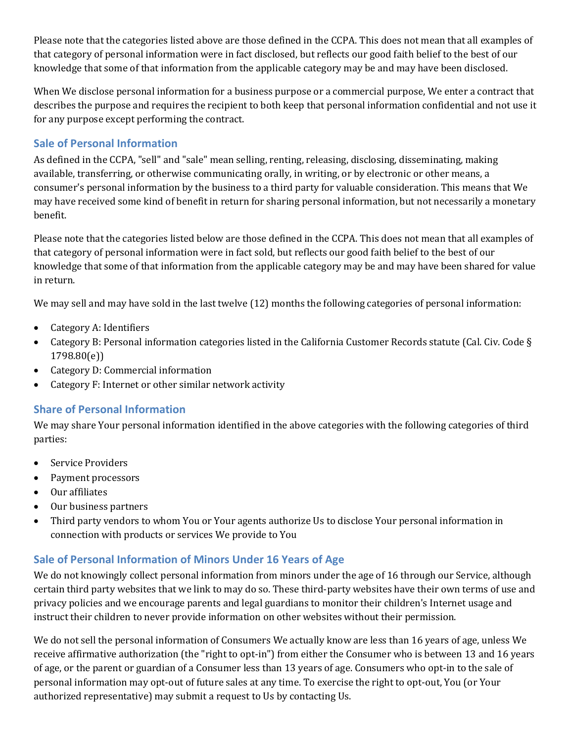Please note that the categories listed above are those defined in the CCPA. This does not mean that all examples of that category of personal information were in fact disclosed, but reflects our good faith belief to the best of our knowledge that some of that information from the applicable category may be and may have been disclosed.

When We disclose personal information for a business purpose or a commercial purpose, We enter a contract that describes the purpose and requires the recipient to both keep that personal information confidential and not use it for any purpose except performing the contract.

## **Sale of Personal Information**

As defined in the CCPA, "sell" and "sale" mean selling, renting, releasing, disclosing, disseminating, making available, transferring, or otherwise communicating orally, in writing, or by electronic or other means, a consumer's personal information by the business to a third party for valuable consideration. This means that We may have received some kind of benefit in return for sharing personal information, but not necessarily a monetary benefit.

Please note that the categories listed below are those defined in the CCPA. This does not mean that all examples of that category of personal information were in fact sold, but reflects our good faith belief to the best of our knowledge that some of that information from the applicable category may be and may have been shared for value in return.

We may sell and may have sold in the last twelve  $(12)$  months the following categories of personal information:

- Category A: Identifiers
- Category B: Personal information categories listed in the California Customer Records statute (Cal. Civ. Code § 1798.80(e))
- Category D: Commercial information
- Category F: Internet or other similar network activity

## **Share of Personal Information**

We may share Your personal information identified in the above categories with the following categories of third parties:

- Service Providers
- Payment processors
- Our affiliates
- Our business partners
- Third party vendors to whom You or Your agents authorize Us to disclose Your personal information in connection with products or services We provide to You

## **Sale of Personal Information of Minors Under 16 Years of Age**

We do not knowingly collect personal information from minors under the age of 16 through our Service, although certain third party websites that we link to may do so. These third-party websites have their own terms of use and privacy policies and we encourage parents and legal guardians to monitor their children's Internet usage and instruct their children to never provide information on other websites without their permission.

We do not sell the personal information of Consumers We actually know are less than 16 years of age, unless We receive affirmative authorization (the "right to opt-in") from either the Consumer who is between 13 and 16 years of age, or the parent or guardian of a Consumer less than 13 years of age. Consumers who opt-in to the sale of personal information may opt-out of future sales at any time. To exercise the right to opt-out, You (or Your authorized representative) may submit a request to Us by contacting Us.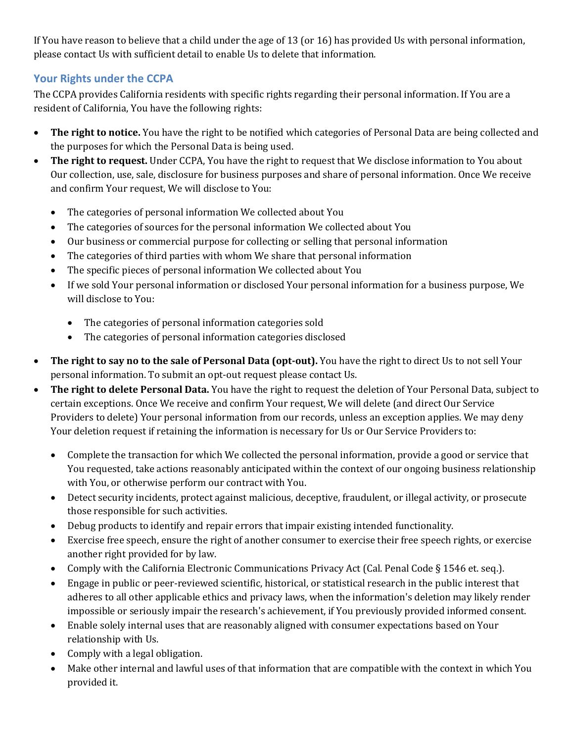If You have reason to believe that a child under the age of 13 (or 16) has provided Us with personal information, please contact Us with sufficient detail to enable Us to delete that information.

## **Your Rights under the CCPA**

The CCPA provides California residents with specific rights regarding their personal information. If You are a resident of California, You have the following rights:

- **The right to notice.** You have the right to be notified which categories of Personal Data are being collected and the purposes for which the Personal Data is being used.
- **The right to request.** Under CCPA, You have the right to request that We disclose information to You about Our collection, use, sale, disclosure for business purposes and share of personal information. Once We receive and confirm Your request, We will disclose to You:
	- The categories of personal information We collected about You
	- The categories of sources for the personal information We collected about You
	- Our business or commercial purpose for collecting or selling that personal information
	- The categories of third parties with whom We share that personal information
	- The specific pieces of personal information We collected about You
	- If we sold Your personal information or disclosed Your personal information for a business purpose, We will disclose to You:
		- The categories of personal information categories sold
		- The categories of personal information categories disclosed
- **The right to say no to the sale of Personal Data (opt-out).** You have the right to direct Us to not sell Your personal information. To submit an opt-out request please contact Us.
- **The right to delete Personal Data.** You have the right to request the deletion of Your Personal Data, subject to certain exceptions. Once We receive and confirm Your request, We will delete (and direct Our Service Providers to delete) Your personal information from our records, unless an exception applies. We may deny Your deletion request if retaining the information is necessary for Us or Our Service Providers to:
	- Complete the transaction for which We collected the personal information, provide a good or service that You requested, take actions reasonably anticipated within the context of our ongoing business relationship with You, or otherwise perform our contract with You.
	- Detect security incidents, protect against malicious, deceptive, fraudulent, or illegal activity, or prosecute those responsible for such activities.
	- Debug products to identify and repair errors that impair existing intended functionality.
	- Exercise free speech, ensure the right of another consumer to exercise their free speech rights, or exercise another right provided for by law.
	- Comply with the California Electronic Communications Privacy Act (Cal. Penal Code § 1546 et. seq.).
	- Engage in public or peer-reviewed scientific, historical, or statistical research in the public interest that adheres to all other applicable ethics and privacy laws, when the information's deletion may likely render impossible or seriously impair the research's achievement, if You previously provided informed consent.
	- Enable solely internal uses that are reasonably aligned with consumer expectations based on Your relationship with Us.
	- Comply with a legal obligation.
	- Make other internal and lawful uses of that information that are compatible with the context in which You provided it.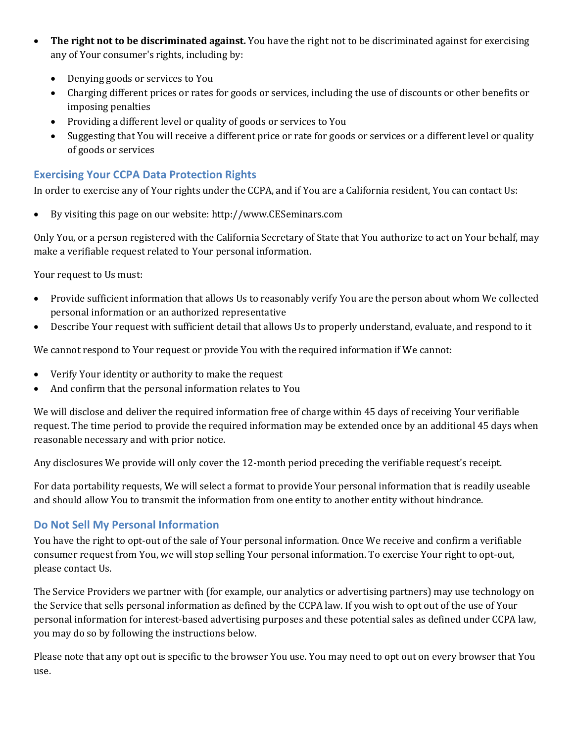- **The right not to be discriminated against.** You have the right not to be discriminated against for exercising any of Your consumer's rights, including by:
	- Denying goods or services to You
	- Charging different prices or rates for goods or services, including the use of discounts or other benefits or imposing penalties
	- Providing a different level or quality of goods or services to You
	- Suggesting that You will receive a different price or rate for goods or services or a different level or quality of goods or services

## **Exercising Your CCPA Data Protection Rights**

In order to exercise any of Your rights under the CCPA, and if You are a California resident, You can contact Us:

• By visiting this page on our website: [http://www.CESeminars.com](http://www.1031.com/)

Only You, or a person registered with the California Secretary of State that You authorize to act on Your behalf, may make a verifiable request related to Your personal information.

Your request to Us must:

- Provide sufficient information that allows Us to reasonably verify You are the person about whom We collected personal information or an authorized representative
- Describe Your request with sufficient detail that allows Us to properly understand, evaluate, and respond to it

We cannot respond to Your request or provide You with the required information if We cannot:

- Verify Your identity or authority to make the request
- And confirm that the personal information relates to You

We will disclose and deliver the required information free of charge within 45 days of receiving Your verifiable request. The time period to provide the required information may be extended once by an additional 45 days when reasonable necessary and with prior notice.

Any disclosures We provide will only cover the 12-month period preceding the verifiable request's receipt.

For data portability requests, We will select a format to provide Your personal information that is readily useable and should allow You to transmit the information from one entity to another entity without hindrance.

## **Do Not Sell My Personal Information**

You have the right to opt-out of the sale of Your personal information. Once We receive and confirm a verifiable consumer request from You, we will stop selling Your personal information. To exercise Your right to opt-out, please contact Us.

The Service Providers we partner with (for example, our analytics or advertising partners) may use technology on the Service that sells personal information as defined by the CCPA law. If you wish to opt out of the use of Your personal information for interest-based advertising purposes and these potential sales as defined under CCPA law, you may do so by following the instructions below.

Please note that any opt out is specific to the browser You use. You may need to opt out on every browser that You use.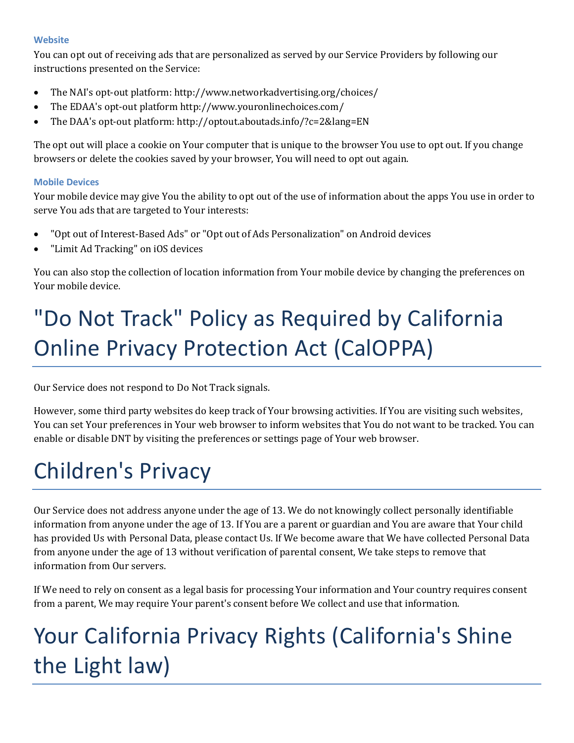#### **Website**

You can opt out of receiving ads that are personalized as served by our Service Providers by following our instructions presented on the Service:

- The NAI's opt-out platform:<http://www.networkadvertising.org/choices/>
- The EDAA's opt-out platform<http://www.youronlinechoices.com/>
- The DAA's opt-out platform:<http://optout.aboutads.info/?c=2&lang=EN>

The opt out will place a cookie on Your computer that is unique to the browser You use to opt out. If you change browsers or delete the cookies saved by your browser, You will need to opt out again.

#### **Mobile Devices**

Your mobile device may give You the ability to opt out of the use of information about the apps You use in order to serve You ads that are targeted to Your interests:

- "Opt out of Interest-Based Ads" or "Opt out of Ads Personalization" on Android devices
- "Limit Ad Tracking" on iOS devices

You can also stop the collection of location information from Your mobile device by changing the preferences on Your mobile device.

# "Do Not Track" Policy as Required by California Online Privacy Protection Act (CalOPPA)

Our Service does not respond to Do Not Track signals.

However, some third party websites do keep track of Your browsing activities. If You are visiting such websites, You can set Your preferences in Your web browser to inform websites that You do not want to be tracked. You can enable or disable DNT by visiting the preferences or settings page of Your web browser.

# Children's Privacy

Our Service does not address anyone under the age of 13. We do not knowingly collect personally identifiable information from anyone under the age of 13. If You are a parent or guardian and You are aware that Your child has provided Us with Personal Data, please contact Us. If We become aware that We have collected Personal Data from anyone under the age of 13 without verification of parental consent, We take steps to remove that information from Our servers.

If We need to rely on consent as a legal basis for processing Your information and Your country requires consent from a parent, We may require Your parent's consent before We collect and use that information.

# Your California Privacy Rights (California's Shine the Light law)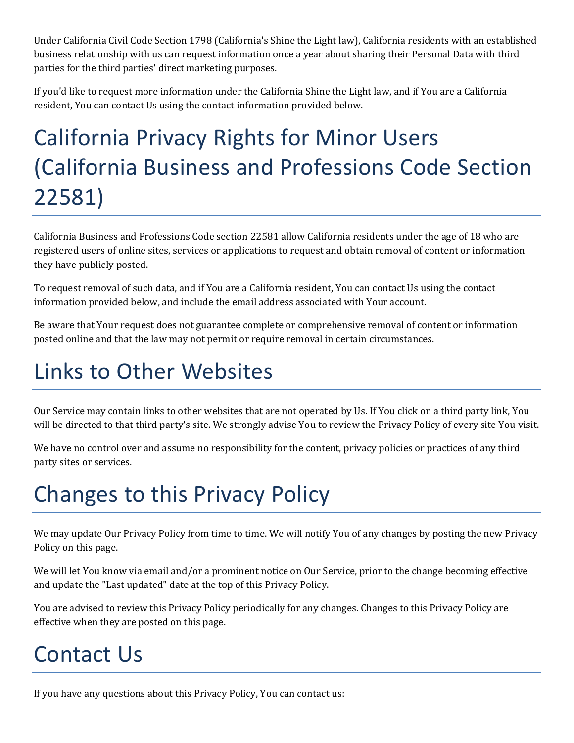Under California Civil Code Section 1798 (California's Shine the Light law), California residents with an established business relationship with us can request information once a year about sharing their Personal Data with third parties for the third parties' direct marketing purposes.

If you'd like to request more information under the California Shine the Light law, and if You are a California resident, You can contact Us using the contact information provided below.

# California Privacy Rights for Minor Users (California Business and Professions Code Section 22581)

California Business and Professions Code section 22581 allow California residents under the age of 18 who are registered users of online sites, services or applications to request and obtain removal of content or information they have publicly posted.

To request removal of such data, and if You are a California resident, You can contact Us using the contact information provided below, and include the email address associated with Your account.

Be aware that Your request does not guarantee complete or comprehensive removal of content or information posted online and that the law may not permit or require removal in certain circumstances.

# Links to Other Websites

Our Service may contain links to other websites that are not operated by Us. If You click on a third party link, You will be directed to that third party's site. We strongly advise You to review the Privacy Policy of every site You visit.

We have no control over and assume no responsibility for the content, privacy policies or practices of any third party sites or services.

## Changes to this Privacy Policy

We may update Our Privacy Policy from time to time. We will notify You of any changes by posting the new Privacy Policy on this page.

We will let You know via email and/or a prominent notice on Our Service, prior to the change becoming effective and update the "Last updated" date at the top of this Privacy Policy.

You are advised to review this Privacy Policy periodically for any changes. Changes to this Privacy Policy are effective when they are posted on this page.

## Contact Us

If you have any questions about this Privacy Policy, You can contact us: